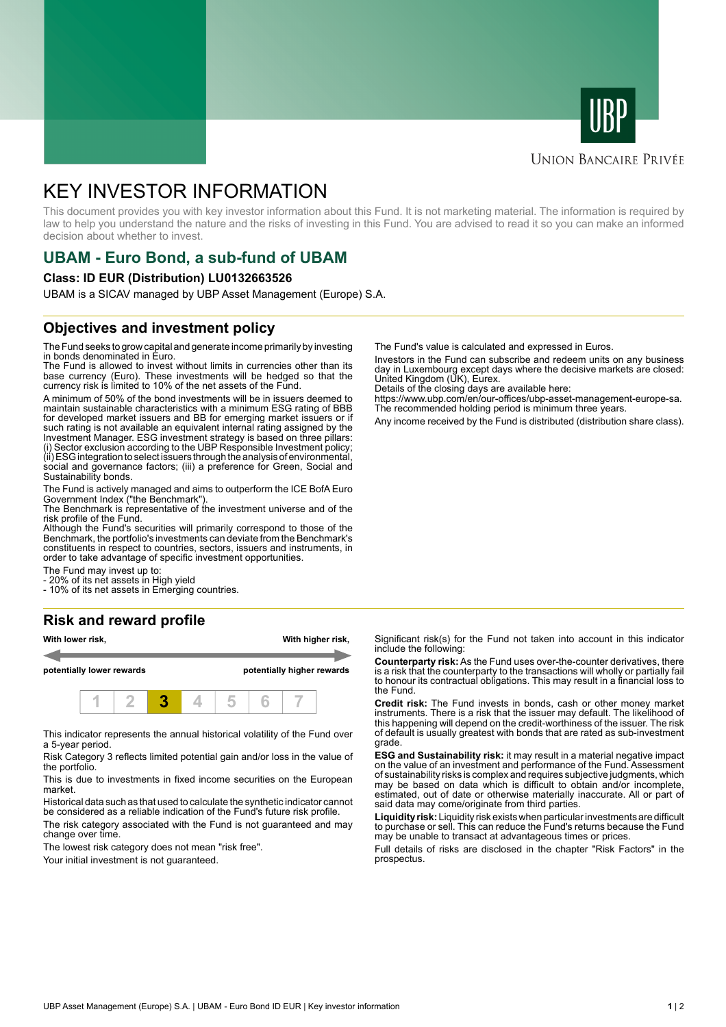



### **UNION BANCAIRE PRIVÉE**

# KEY INVESTOR INFORMATION

This document provides you with key investor information about this Fund. It is not marketing material. The information is required by law to help you understand the nature and the risks of investing in this Fund. You are advised to read it so you can make an informed decision about whether to invest.

# **UBAM - Euro Bond, a sub-fund of UBAM**

#### **Class: ID EUR (Distribution) LU0132663526**

UBAM is a SICAV managed by UBP Asset Management (Europe) S.A.

### **Objectives and investment policy**

The Fund seeks to grow capital and generate income primarily by investing in bonds denominated in Euro.

The Fund is allowed to invest without limits in currencies other than its base currency (Euro). These investments will be hedged so that the currency risk is limited to 10% of the net assets of the Fund.

A minimum of 50% of the bond investments will be in issuers deemed to maintain sustainable characteristics with a minimum ESG rating of BBB for developed market issuers and BB for emerging market issuers or if such rating is not available an equivalent internal rating assigned by the Investment Manager. ESG investment strategy is based on three pillars: (i) Sector exclusion according to the UBP Responsible Investment policy; (ii) ESG integration to select issuers through the analysis of environmental, social and governance factors; (iii) a preference for Green, Social and Sustainability bonds.

The Fund is actively managed and aims to outperform the ICE BofA Euro Government Index ("the Benchmark").

The Benchmark is representative of the investment universe and of the risk profile of the Fund.

Although the Fund's securities will primarily correspond to those of the Benchmark, the portfolio's investments can deviate from the Benchmark's constituents in respect to countries, sectors, issuers and instruments, in order to take advantage of specific investment opportunities.

The Fund may invest up to:

- 20% of its net assets in High yield

- 10% of its net assets in Emerging countries.

#### **Risk and reward profile**



This indicator represents the annual historical volatility of the Fund over a 5-year period.

Risk Category 3 reflects limited potential gain and/or loss in the value of the portfolio.

This is due to investments in fixed income securities on the European market.

Historical data such as that used to calculate the synthetic indicator cannot be considered as a reliable indication of the Fund's future risk profile. The risk category associated with the Fund is not guaranteed and may change over time.

The lowest risk category does not mean "risk free".

Your initial investment is not quaranteed.

The Fund's value is calculated and expressed in Euros.

Investors in the Fund can subscribe and redeem units on any business day in Luxembourg except days where the decisive markets are closed: United Kingdom (UK), Eurex.

Details of the closing days are available here:

https://www.ubp.com/en/our-offices/ubp-asset-management-europe-sa. The recommended holding period is minimum three years.

Any income received by the Fund is distributed (distribution share class).

Significant risk(s) for the Fund not taken into account in this indicator include the following:

**Counterparty risk:** As the Fund uses over-the-counter derivatives, there is a risk that the counterparty to the transactions will wholly or partially fail to honour its contractual obligations. This may result in a financial loss to the Fund.

**Credit risk:** The Fund invests in bonds, cash or other money market instruments. There is a risk that the issuer may default. The likelihood of this happening will depend on the credit-worthiness of the issuer. The risk of default is usually greatest with bonds that are rated as sub-investment grade.

**ESG and Sustainability risk:** it may result in a material negative impact on the value of an investment and performance of the Fund. Assessment of sustainability risks is complex and requires subjective judgments, which may be based on data which is difficult to obtain and/or incomplete, estimated, out of date or otherwise materially inaccurate. All or part of said data may come/originate from third parties.

**Liquidity risk:** Liquidity risk exists when particular investments are difficult to purchase or sell. This can reduce the Fund's returns because the Fund may be unable to transact at advantageous times or prices.

Full details of risks are disclosed in the chapter "Risk Factors" in the prospectus.